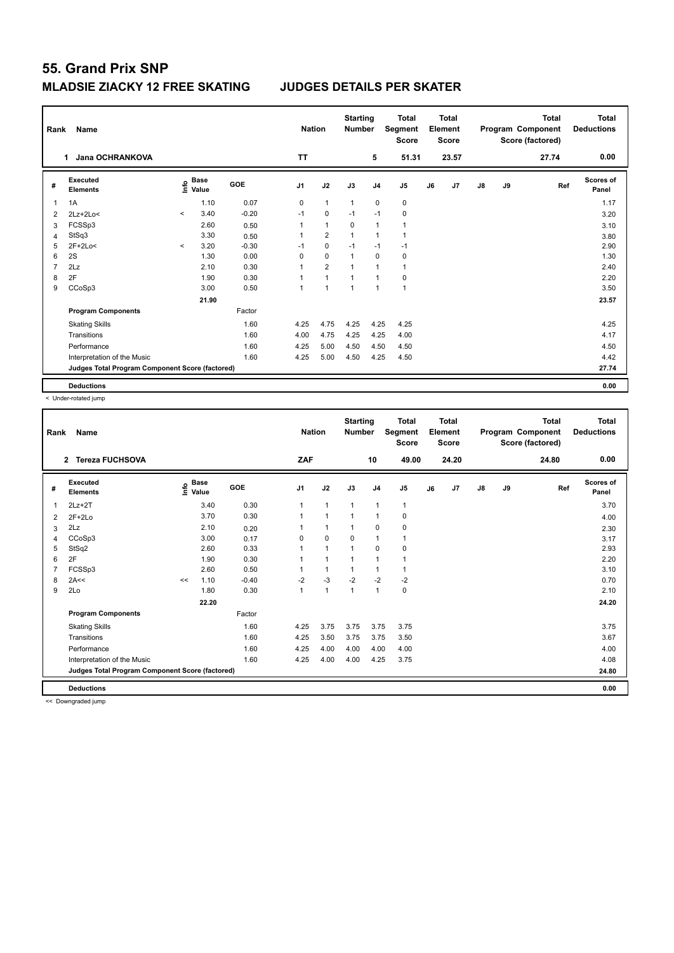| Rank           | Name                                            | <b>Nation</b> |                                  | <b>Starting</b><br><b>Number</b> |                | <b>Total</b><br>Segment<br><b>Score</b> |                | <b>Total</b><br>Element<br><b>Score</b> |              |    | <b>Total</b><br>Program Component<br>Score (factored) | Total<br><b>Deductions</b> |    |       |                    |
|----------------|-------------------------------------------------|---------------|----------------------------------|----------------------------------|----------------|-----------------------------------------|----------------|-----------------------------------------|--------------|----|-------------------------------------------------------|----------------------------|----|-------|--------------------|
|                | Jana OCHRANKOVA<br>1                            |               |                                  |                                  | <b>TT</b>      |                                         |                | 5                                       | 51.31        |    | 23.57                                                 |                            |    | 27.74 | 0.00               |
| #              | <b>Executed</b><br><b>Elements</b>              |               | <b>Base</b><br>e Base<br>⊆ Value | GOE                              | J <sub>1</sub> | J2                                      | J3             | J <sub>4</sub>                          | J5           | J6 | J7                                                    | $\mathsf{J}8$              | J9 | Ref   | Scores of<br>Panel |
| 1              | 1A                                              |               | 1.10                             | 0.07                             | 0              | $\mathbf{1}$                            | $\overline{1}$ | $\mathbf 0$                             | $\pmb{0}$    |    |                                                       |                            |    |       | 1.17               |
| $\overline{2}$ | $2Lz+2Lo<$                                      | $\prec$       | 3.40                             | $-0.20$                          | $-1$           | 0                                       | $-1$           | $-1$                                    | 0            |    |                                                       |                            |    |       | 3.20               |
| 3              | FCSSp3                                          |               | 2.60                             | 0.50                             | 1              | $\mathbf{1}$                            | 0              | $\overline{1}$                          | $\mathbf{1}$ |    |                                                       |                            |    |       | 3.10               |
| 4              | StSq3                                           |               | 3.30                             | 0.50                             | 1              | $\overline{2}$                          | $\overline{1}$ | $\overline{1}$                          | 1            |    |                                                       |                            |    |       | 3.80               |
| 5              | $2F+2Lo<$                                       | $\prec$       | 3.20                             | $-0.30$                          | $-1$           | $\mathbf 0$                             | $-1$           | $-1$                                    | $-1$         |    |                                                       |                            |    |       | 2.90               |
| 6              | 2S                                              |               | 1.30                             | 0.00                             | 0              | $\mathbf 0$                             | $\overline{1}$ | $\mathbf 0$                             | $\pmb{0}$    |    |                                                       |                            |    |       | 1.30               |
| 7              | 2Lz                                             |               | 2.10                             | 0.30                             | 1              | $\overline{2}$                          | $\overline{1}$ | 1                                       | $\mathbf{1}$ |    |                                                       |                            |    |       | 2.40               |
| 8              | 2F                                              |               | 1.90                             | 0.30                             | 1              | $\mathbf{1}$                            | 1              | 1                                       | 0            |    |                                                       |                            |    |       | 2.20               |
| 9              | CCoSp3                                          |               | 3.00                             | 0.50                             | 1              | $\overline{1}$                          | $\overline{1}$ | $\overline{1}$                          | $\mathbf{1}$ |    |                                                       |                            |    |       | 3.50               |
|                |                                                 |               | 21.90                            |                                  |                |                                         |                |                                         |              |    |                                                       |                            |    |       | 23.57              |
|                | <b>Program Components</b>                       |               |                                  | Factor                           |                |                                         |                |                                         |              |    |                                                       |                            |    |       |                    |
|                | <b>Skating Skills</b>                           |               |                                  | 1.60                             | 4.25           | 4.75                                    | 4.25           | 4.25                                    | 4.25         |    |                                                       |                            |    |       | 4.25               |
|                | Transitions                                     |               |                                  | 1.60                             | 4.00           | 4.75                                    | 4.25           | 4.25                                    | 4.00         |    |                                                       |                            |    |       | 4.17               |
|                | Performance                                     |               |                                  | 1.60                             | 4.25           | 5.00                                    | 4.50           | 4.50                                    | 4.50         |    |                                                       |                            |    |       | 4.50               |
|                | Interpretation of the Music                     |               |                                  | 1.60                             | 4.25           | 5.00                                    | 4.50           | 4.25                                    | 4.50         |    |                                                       |                            |    |       | 4.42               |
|                | Judges Total Program Component Score (factored) |               |                                  |                                  |                |                                         |                |                                         |              |    |                                                       |                            |    |       | 27.74              |
|                | <b>Deductions</b>                               |               |                                  |                                  |                |                                         |                |                                         |              |    |                                                       |                            |    |       | 0.00               |

< Under-rotated jump

| Rank           | <b>Name</b>                                     |                     |             |         | <b>Nation</b>  |                | <b>Starting</b><br><b>Number</b> |                | <b>Total</b><br>Segment<br><b>Score</b> |    | <b>Total</b><br>Element<br><b>Score</b> |               |    | <b>Total</b><br>Program Component<br>Score (factored) | <b>Total</b><br><b>Deductions</b> |
|----------------|-------------------------------------------------|---------------------|-------------|---------|----------------|----------------|----------------------------------|----------------|-----------------------------------------|----|-----------------------------------------|---------------|----|-------------------------------------------------------|-----------------------------------|
|                | <b>Tereza FUCHSOVA</b><br>$\overline{2}$        |                     |             |         | ZAF            |                |                                  | 10             | 49.00                                   |    | 24.20                                   |               |    | 24.80                                                 | 0.00                              |
| #              | Executed<br><b>Elements</b>                     | $\frac{6}{5}$ Value | <b>Base</b> | GOE     | J <sub>1</sub> | J2             | J3                               | J <sub>4</sub> | J <sub>5</sub>                          | J6 | J7                                      | $\mathsf{J}8$ | J9 | Ref                                                   | Scores of<br>Panel                |
| 1              | $2Lz+2T$                                        |                     | 3.40        | 0.30    | 1              | $\overline{1}$ | $\mathbf{1}$                     | $\overline{1}$ | $\mathbf{1}$                            |    |                                         |               |    |                                                       | 3.70                              |
| 2              | $2F+2Lo$                                        |                     | 3.70        | 0.30    | 1              | $\overline{1}$ | 1                                | $\overline{1}$ | 0                                       |    |                                         |               |    |                                                       | 4.00                              |
| 3              | 2Lz                                             |                     | 2.10        | 0.20    |                | $\overline{1}$ | -1                               | 0              | 0                                       |    |                                         |               |    |                                                       | 2.30                              |
| 4              | CCoSp3                                          |                     | 3.00        | 0.17    | 0              | $\mathbf 0$    | 0                                | 1              |                                         |    |                                         |               |    |                                                       | 3.17                              |
| 5              | StSq2                                           |                     | 2.60        | 0.33    | 1              | $\overline{1}$ | $\overline{1}$                   | $\mathbf 0$    | $\mathbf 0$                             |    |                                         |               |    |                                                       | 2.93                              |
| 6              | 2F                                              |                     | 1.90        | 0.30    | 1              | $\overline{1}$ | 1                                | $\overline{1}$ |                                         |    |                                         |               |    |                                                       | 2.20                              |
| $\overline{7}$ | FCSSp3                                          |                     | 2.60        | 0.50    |                | $\overline{1}$ | $\overline{1}$                   | $\overline{1}$ | $\mathbf{1}$                            |    |                                         |               |    |                                                       | 3.10                              |
| 8              | 2A<<                                            | <<                  | 1.10        | $-0.40$ | $-2$           | $-3$           | $-2$                             | $-2$           | $-2$                                    |    |                                         |               |    |                                                       | 0.70                              |
| 9              | 2Lo                                             |                     | 1.80        | 0.30    | $\mathbf{1}$   | $\overline{1}$ | 1                                | $\overline{1}$ | $\pmb{0}$                               |    |                                         |               |    |                                                       | 2.10                              |
|                |                                                 |                     | 22.20       |         |                |                |                                  |                |                                         |    |                                         |               |    |                                                       | 24.20                             |
|                | <b>Program Components</b>                       |                     |             | Factor  |                |                |                                  |                |                                         |    |                                         |               |    |                                                       |                                   |
|                | <b>Skating Skills</b>                           |                     |             | 1.60    | 4.25           | 3.75           | 3.75                             | 3.75           | 3.75                                    |    |                                         |               |    |                                                       | 3.75                              |
|                | Transitions                                     |                     |             | 1.60    | 4.25           | 3.50           | 3.75                             | 3.75           | 3.50                                    |    |                                         |               |    |                                                       | 3.67                              |
|                | Performance                                     |                     |             | 1.60    | 4.25           | 4.00           | 4.00                             | 4.00           | 4.00                                    |    |                                         |               |    |                                                       | 4.00                              |
|                | Interpretation of the Music                     |                     |             | 1.60    | 4.25           | 4.00           | 4.00                             | 4.25           | 3.75                                    |    |                                         |               |    |                                                       | 4.08                              |
|                | Judges Total Program Component Score (factored) |                     |             |         |                |                |                                  |                |                                         |    |                                         |               |    |                                                       | 24.80                             |
|                | <b>Deductions</b>                               |                     |             |         |                |                |                                  |                |                                         |    |                                         |               |    |                                                       | 0.00                              |

<< Downgraded jump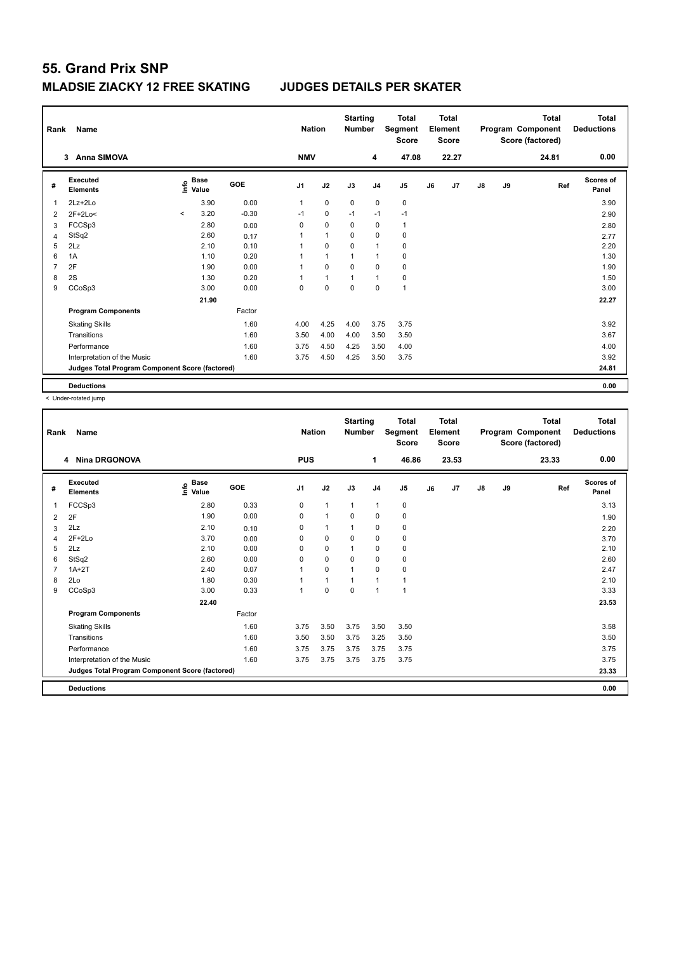| Rank           | Name                                            | <b>Nation</b>            |                                           | <b>Starting</b><br><b>Number</b> |            | <b>Total</b><br>Segment<br><b>Score</b> |             | <b>Total</b><br>Element<br><b>Score</b> |                |    | <b>Total</b><br>Program Component<br>Score (factored) | <b>Total</b><br><b>Deductions</b> |    |       |                           |
|----------------|-------------------------------------------------|--------------------------|-------------------------------------------|----------------------------------|------------|-----------------------------------------|-------------|-----------------------------------------|----------------|----|-------------------------------------------------------|-----------------------------------|----|-------|---------------------------|
|                | <b>Anna SIMOVA</b><br>3                         |                          |                                           |                                  | <b>NMV</b> |                                         |             | 4                                       | 47.08          |    | 22.27                                                 |                                   |    | 24.81 | 0.00                      |
| #              | Executed<br><b>Elements</b>                     |                          | $\frac{e}{E}$ Base<br>$\frac{e}{E}$ Value | <b>GOE</b>                       | J1         | J2                                      | J3          | J <sub>4</sub>                          | J <sub>5</sub> | J6 | J <sub>7</sub>                                        | $\mathsf{J}8$                     | J9 | Ref   | <b>Scores of</b><br>Panel |
|                | $2Lz + 2Lo$                                     |                          | 3.90                                      | 0.00                             | 1          | $\mathbf 0$                             | $\mathbf 0$ | $\mathbf 0$                             | $\pmb{0}$      |    |                                                       |                                   |    |       | 3.90                      |
| $\overline{2}$ | $2F+2Lo<$                                       | $\overline{\phantom{a}}$ | 3.20                                      | $-0.30$                          | $-1$       | 0                                       | $-1$        | $-1$                                    | $-1$           |    |                                                       |                                   |    |       | 2.90                      |
| 3              | FCCSp3                                          |                          | 2.80                                      | 0.00                             | 0          | $\mathbf 0$                             | 0           | $\mathbf 0$                             | $\mathbf{1}$   |    |                                                       |                                   |    |       | 2.80                      |
| 4              | StSq2                                           |                          | 2.60                                      | 0.17                             | 1          | $\mathbf{1}$                            | $\mathbf 0$ | $\mathbf 0$                             | $\pmb{0}$      |    |                                                       |                                   |    |       | 2.77                      |
| 5              | 2Lz                                             |                          | 2.10                                      | 0.10                             | 1          | $\mathbf 0$                             | $\mathbf 0$ | $\overline{1}$                          | 0              |    |                                                       |                                   |    |       | 2.20                      |
| 6              | 1A                                              |                          | 1.10                                      | 0.20                             | 1          | $\mathbf{1}$                            | 1           | $\overline{1}$                          | 0              |    |                                                       |                                   |    |       | 1.30                      |
| 7              | 2F                                              |                          | 1.90                                      | 0.00                             | 1          | $\mathbf 0$                             | $\Omega$    | $\mathbf 0$                             | $\pmb{0}$      |    |                                                       |                                   |    |       | 1.90                      |
| 8              | 2S                                              |                          | 1.30                                      | 0.20                             |            | 1                                       | 1           | $\overline{1}$                          | 0              |    |                                                       |                                   |    |       | 1.50                      |
| 9              | CCoSp3                                          |                          | 3.00                                      | 0.00                             | 0          | 0                                       | $\mathbf 0$ | $\mathbf 0$                             | $\overline{1}$ |    |                                                       |                                   |    |       | 3.00                      |
|                |                                                 |                          | 21.90                                     |                                  |            |                                         |             |                                         |                |    |                                                       |                                   |    |       | 22.27                     |
|                | <b>Program Components</b>                       |                          |                                           | Factor                           |            |                                         |             |                                         |                |    |                                                       |                                   |    |       |                           |
|                | <b>Skating Skills</b>                           |                          |                                           | 1.60                             | 4.00       | 4.25                                    | 4.00        | 3.75                                    | 3.75           |    |                                                       |                                   |    |       | 3.92                      |
|                | Transitions                                     |                          |                                           | 1.60                             | 3.50       | 4.00                                    | 4.00        | 3.50                                    | 3.50           |    |                                                       |                                   |    |       | 3.67                      |
|                | Performance                                     |                          |                                           | 1.60                             | 3.75       | 4.50                                    | 4.25        | 3.50                                    | 4.00           |    |                                                       |                                   |    |       | 4.00                      |
|                | Interpretation of the Music                     |                          |                                           | 1.60                             | 3.75       | 4.50                                    | 4.25        | 3.50                                    | 3.75           |    |                                                       |                                   |    |       | 3.92                      |
|                | Judges Total Program Component Score (factored) |                          |                                           |                                  |            |                                         |             |                                         |                |    |                                                       |                                   |    |       | 24.81                     |
|                | <b>Deductions</b>                               |                          |                                           |                                  |            |                                         |             |                                         |                |    |                                                       |                                   |    |       | 0.00                      |

< Under-rotated jump

| Rank | Name<br><b>Nina DRGONOVA</b><br>4               |                                  |        | <b>Nation</b>  |                | <b>Starting</b><br><b>Number</b> |                | <b>Total</b><br>Segment<br><b>Score</b> |    | <b>Total</b><br>Element<br><b>Score</b> |               |    | <b>Total</b><br>Program Component<br>Score (factored) | <b>Total</b><br><b>Deductions</b> |
|------|-------------------------------------------------|----------------------------------|--------|----------------|----------------|----------------------------------|----------------|-----------------------------------------|----|-----------------------------------------|---------------|----|-------------------------------------------------------|-----------------------------------|
|      |                                                 |                                  |        | <b>PUS</b>     |                |                                  | 1              | 46.86                                   |    | 23.53                                   |               |    | 23.33                                                 | 0.00                              |
| #    | Executed<br><b>Elements</b>                     | <b>Base</b><br>e Base<br>⊆ Value | GOE    | J <sub>1</sub> | J2             | J3                               | J <sub>4</sub> | J <sub>5</sub>                          | J6 | J <sub>7</sub>                          | $\mathsf{J}8$ | J9 | Ref                                                   | <b>Scores of</b><br>Panel         |
| 1    | FCCSp3                                          | 2.80                             | 0.33   | 0              | $\mathbf{1}$   | $\mathbf{1}$                     | $\mathbf{1}$   | 0                                       |    |                                         |               |    |                                                       | 3.13                              |
| 2    | 2F                                              | 1.90                             | 0.00   | 0              | $\mathbf{1}$   | 0                                | $\mathbf 0$    | 0                                       |    |                                         |               |    |                                                       | 1.90                              |
| 3    | 2Lz                                             | 2.10                             | 0.10   | 0              | $\mathbf{1}$   | $\mathbf 1$                      | 0              | 0                                       |    |                                         |               |    |                                                       | 2.20                              |
| 4    | $2F+2Lo$                                        | 3.70                             | 0.00   | 0              | $\mathbf 0$    | 0                                | $\mathbf 0$    | 0                                       |    |                                         |               |    |                                                       | 3.70                              |
| 5    | 2Lz                                             | 2.10                             | 0.00   | 0              | $\mathbf 0$    | 1                                | 0              | 0                                       |    |                                         |               |    |                                                       | 2.10                              |
| 6    | StSq2                                           | 2.60                             | 0.00   | 0              | $\mathbf 0$    | $\Omega$                         | $\mathbf 0$    | 0                                       |    |                                         |               |    |                                                       | 2.60                              |
|      | $1A+2T$                                         | 2.40                             | 0.07   | 1              | $\mathbf 0$    | $\mathbf 1$                      | 0              | 0                                       |    |                                         |               |    |                                                       | 2.47                              |
| 8    | 2Lo                                             | 1.80                             | 0.30   |                | $\overline{1}$ |                                  | $\mathbf{1}$   | $\mathbf{1}$                            |    |                                         |               |    |                                                       | 2.10                              |
| 9    | CCoSp3                                          | 3.00                             | 0.33   | 1              | $\mathbf 0$    | $\mathbf 0$                      | $\overline{1}$ | $\mathbf{1}$                            |    |                                         |               |    |                                                       | 3.33                              |
|      |                                                 | 22.40                            |        |                |                |                                  |                |                                         |    |                                         |               |    |                                                       | 23.53                             |
|      | <b>Program Components</b>                       |                                  | Factor |                |                |                                  |                |                                         |    |                                         |               |    |                                                       |                                   |
|      | <b>Skating Skills</b>                           |                                  | 1.60   | 3.75           | 3.50           | 3.75                             | 3.50           | 3.50                                    |    |                                         |               |    |                                                       | 3.58                              |
|      | Transitions                                     |                                  | 1.60   | 3.50           | 3.50           | 3.75                             | 3.25           | 3.50                                    |    |                                         |               |    |                                                       | 3.50                              |
|      | Performance                                     |                                  | 1.60   | 3.75           | 3.75           | 3.75                             | 3.75           | 3.75                                    |    |                                         |               |    |                                                       | 3.75                              |
|      | Interpretation of the Music                     |                                  | 1.60   | 3.75           | 3.75           | 3.75                             | 3.75           | 3.75                                    |    |                                         |               |    |                                                       | 3.75                              |
|      | Judges Total Program Component Score (factored) |                                  |        |                |                |                                  |                |                                         |    |                                         |               |    |                                                       | 23.33                             |
|      | <b>Deductions</b>                               |                                  |        |                |                |                                  |                |                                         |    |                                         |               |    |                                                       | 0.00                              |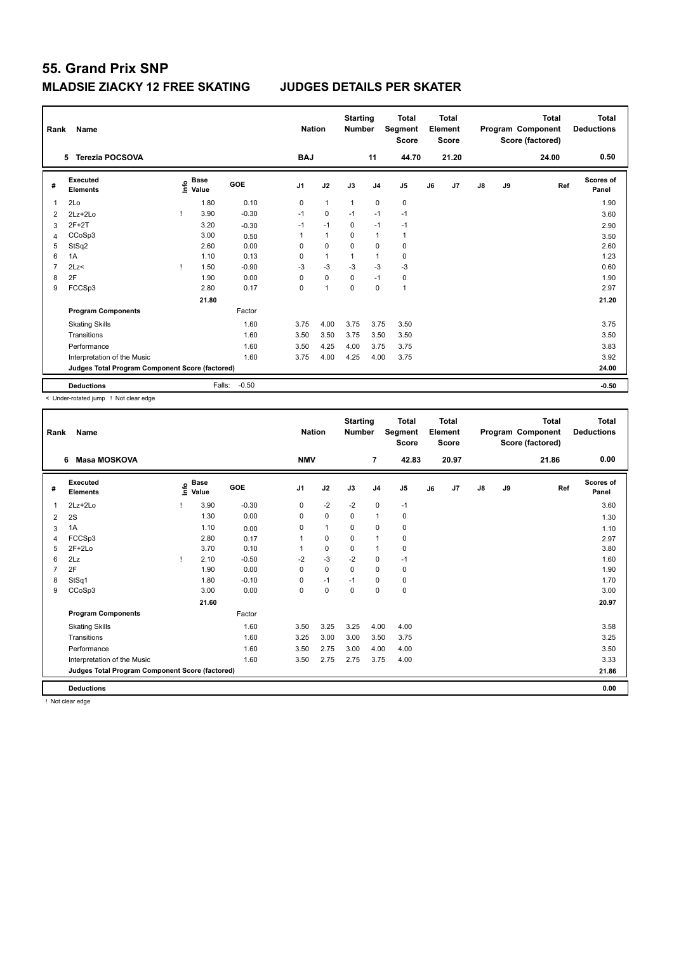| Rank | Name                                            | <b>Nation</b> |                      | <b>Starting</b><br><b>Number</b> |            | <b>Total</b><br>Segment<br>Score |              | Total<br>Element<br><b>Score</b> |                |    | <b>Total</b><br>Program Component<br>Score (factored) | Total<br><b>Deductions</b> |    |       |                           |
|------|-------------------------------------------------|---------------|----------------------|----------------------------------|------------|----------------------------------|--------------|----------------------------------|----------------|----|-------------------------------------------------------|----------------------------|----|-------|---------------------------|
|      | <b>Terezia POCSOVA</b><br>5.                    |               |                      |                                  | <b>BAJ</b> |                                  |              | 11                               | 44.70          |    | 21.20                                                 |                            |    | 24.00 | 0.50                      |
| #    | Executed<br><b>Elements</b>                     | ۴ů            | <b>Base</b><br>Value | GOE                              | J1         | J2                               | J3           | J <sub>4</sub>                   | J <sub>5</sub> | J6 | J <sub>7</sub>                                        | $\mathsf{J}8$              | J9 | Ref   | <b>Scores of</b><br>Panel |
| -1   | 2Lo                                             |               | 1.80                 | 0.10                             | 0          | $\mathbf{1}$                     | $\mathbf{1}$ | $\mathbf 0$                      | $\mathbf 0$    |    |                                                       |                            |    |       | 1.90                      |
| 2    | $2Lz + 2Lo$                                     |               | 3.90                 | $-0.30$                          | $-1$       | $\mathbf 0$                      | $-1$         | $-1$                             | $-1$           |    |                                                       |                            |    |       | 3.60                      |
| 3    | $2F+2T$                                         |               | 3.20                 | $-0.30$                          | $-1$       | $-1$                             | $\mathbf 0$  | $-1$                             | $-1$           |    |                                                       |                            |    |       | 2.90                      |
| 4    | CCoSp3                                          |               | 3.00                 | 0.50                             | 1          | $\mathbf{1}$                     | $\Omega$     | $\overline{1}$                   | $\mathbf{1}$   |    |                                                       |                            |    |       | 3.50                      |
| 5    | StSq2                                           |               | 2.60                 | 0.00                             | 0          | $\mathbf 0$                      | $\Omega$     | $\mathbf 0$                      | 0              |    |                                                       |                            |    |       | 2.60                      |
| 6    | 1A                                              |               | 1.10                 | 0.13                             | 0          | $\mathbf{1}$                     | 1            | $\overline{1}$                   | $\pmb{0}$      |    |                                                       |                            |    |       | 1.23                      |
| 7    | 2Lz                                             |               | 1.50                 | $-0.90$                          | $-3$       | $-3$                             | $-3$         | $-3$                             | $-3$           |    |                                                       |                            |    |       | 0.60                      |
| 8    | 2F                                              |               | 1.90                 | 0.00                             | $\Omega$   | $\mathbf 0$                      | $\Omega$     | $-1$                             | $\pmb{0}$      |    |                                                       |                            |    |       | 1.90                      |
| 9    | FCCSp3                                          |               | 2.80                 | 0.17                             | 0          | 1                                | 0            | $\mathbf 0$                      | $\overline{1}$ |    |                                                       |                            |    |       | 2.97                      |
|      |                                                 |               | 21.80                |                                  |            |                                  |              |                                  |                |    |                                                       |                            |    |       | 21.20                     |
|      | <b>Program Components</b>                       |               |                      | Factor                           |            |                                  |              |                                  |                |    |                                                       |                            |    |       |                           |
|      | <b>Skating Skills</b>                           |               |                      | 1.60                             | 3.75       | 4.00                             | 3.75         | 3.75                             | 3.50           |    |                                                       |                            |    |       | 3.75                      |
|      | Transitions                                     |               |                      | 1.60                             | 3.50       | 3.50                             | 3.75         | 3.50                             | 3.50           |    |                                                       |                            |    |       | 3.50                      |
|      | Performance                                     |               |                      | 1.60                             | 3.50       | 4.25                             | 4.00         | 3.75                             | 3.75           |    |                                                       |                            |    |       | 3.83                      |
|      | Interpretation of the Music                     |               |                      | 1.60                             | 3.75       | 4.00                             | 4.25         | 4.00                             | 3.75           |    |                                                       |                            |    |       | 3.92                      |
|      | Judges Total Program Component Score (factored) |               |                      |                                  |            |                                  |              |                                  |                |    |                                                       |                            |    |       | 24.00                     |
|      | <b>Deductions</b>                               |               | Falls:               | $-0.50$                          |            |                                  |              |                                  |                |    |                                                       |                            |    |       | $-0.50$                   |

< Under-rotated jump ! Not clear edge

| Rank           | <b>Name</b>                                     | <b>Nation</b> |                      | <b>Starting</b><br><b>Number</b> |                | <b>Total</b><br>Segment<br><b>Score</b> |             | <b>Total</b><br>Element<br><b>Score</b> |                |    | <b>Total</b><br>Program Component<br>Score (factored) | <b>Total</b><br><b>Deductions</b> |    |       |                           |
|----------------|-------------------------------------------------|---------------|----------------------|----------------------------------|----------------|-----------------------------------------|-------------|-----------------------------------------|----------------|----|-------------------------------------------------------|-----------------------------------|----|-------|---------------------------|
|                | <b>Masa MOSKOVA</b><br>6                        |               |                      |                                  | <b>NMV</b>     |                                         |             | $\overline{7}$                          | 42.83          |    | 20.97                                                 |                                   |    | 21.86 | 0.00                      |
| #              | Executed<br><b>Elements</b>                     | e             | <b>Base</b><br>Value | GOE                              | J <sub>1</sub> | J2                                      | J3          | J <sub>4</sub>                          | J <sub>5</sub> | J6 | J7                                                    | $\mathsf{J}8$                     | J9 | Ref   | <b>Scores of</b><br>Panel |
| 1              | $2Lz + 2Lo$                                     |               | 3.90                 | $-0.30$                          | 0              | $-2$                                    | $-2$        | $\mathbf 0$                             | $-1$           |    |                                                       |                                   |    |       | 3.60                      |
| 2              | 2S                                              |               | 1.30                 | 0.00                             | 0              | $\mathbf 0$                             | 0           | $\mathbf{1}$                            | 0              |    |                                                       |                                   |    |       | 1.30                      |
| 3              | 1A                                              |               | 1.10                 | 0.00                             | $\Omega$       | $\mathbf{1}$                            | $\Omega$    | 0                                       | 0              |    |                                                       |                                   |    |       | 1.10                      |
| 4              | FCCSp3                                          |               | 2.80                 | 0.17                             |                | 0                                       | 0           | $\mathbf{1}$                            | 0              |    |                                                       |                                   |    |       | 2.97                      |
| 5              | $2F+2Lo$                                        |               | 3.70                 | 0.10                             |                | $\pmb{0}$                               | 0           | $\mathbf{1}$                            | 0              |    |                                                       |                                   |    |       | 3.80                      |
| 6              | 2Lz                                             |               | 2.10                 | $-0.50$                          | $-2$           | $-3$                                    | $-2$        | $\mathbf 0$                             | $-1$           |    |                                                       |                                   |    |       | 1.60                      |
| $\overline{7}$ | 2F                                              |               | 1.90                 | 0.00                             | 0              | $\mathbf 0$                             | $\mathbf 0$ | $\mathbf 0$                             | 0              |    |                                                       |                                   |    |       | 1.90                      |
| 8              | StSq1                                           |               | 1.80                 | $-0.10$                          | 0              | $-1$                                    | $-1$        | 0                                       | 0              |    |                                                       |                                   |    |       | 1.70                      |
| 9              | CCoSp3                                          |               | 3.00                 | 0.00                             | 0              | $\mathbf 0$                             | 0           | $\mathbf 0$                             | $\mathbf 0$    |    |                                                       |                                   |    |       | 3.00                      |
|                |                                                 |               | 21.60                |                                  |                |                                         |             |                                         |                |    |                                                       |                                   |    |       | 20.97                     |
|                | <b>Program Components</b>                       |               |                      | Factor                           |                |                                         |             |                                         |                |    |                                                       |                                   |    |       |                           |
|                | <b>Skating Skills</b>                           |               |                      | 1.60                             | 3.50           | 3.25                                    | 3.25        | 4.00                                    | 4.00           |    |                                                       |                                   |    |       | 3.58                      |
|                | Transitions                                     |               |                      | 1.60                             | 3.25           | 3.00                                    | 3.00        | 3.50                                    | 3.75           |    |                                                       |                                   |    |       | 3.25                      |
|                | Performance                                     |               |                      | 1.60                             | 3.50           | 2.75                                    | 3.00        | 4.00                                    | 4.00           |    |                                                       |                                   |    |       | 3.50                      |
|                | Interpretation of the Music                     |               |                      | 1.60                             | 3.50           | 2.75                                    | 2.75        | 3.75                                    | 4.00           |    |                                                       |                                   |    |       | 3.33                      |
|                | Judges Total Program Component Score (factored) |               |                      |                                  |                |                                         |             |                                         |                |    |                                                       |                                   |    |       | 21.86                     |
|                | <b>Deductions</b>                               |               |                      |                                  |                |                                         |             |                                         |                |    |                                                       |                                   |    |       | 0.00                      |

! Not clear edge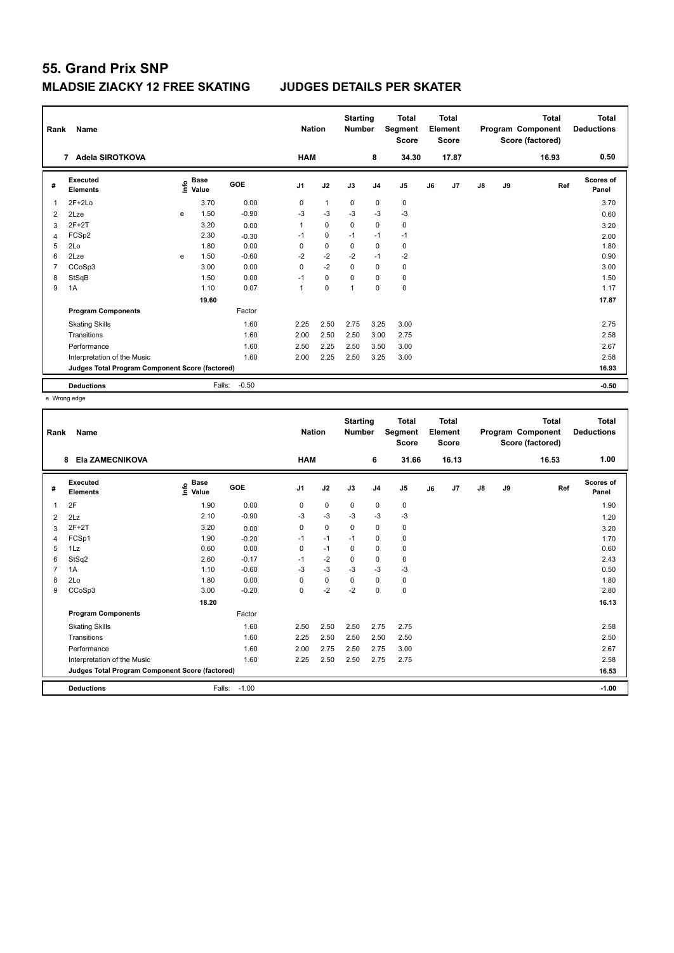| Rank           | Name                                            |             | <b>Nation</b>        | <b>Starting</b><br><b>Number</b> |            | <b>Total</b><br>Segment<br><b>Score</b> |             | <b>Total</b><br>Element<br><b>Score</b> |                |    | <b>Total</b><br>Program Component<br>Score (factored) | Total<br><b>Deductions</b> |    |       |                    |
|----------------|-------------------------------------------------|-------------|----------------------|----------------------------------|------------|-----------------------------------------|-------------|-----------------------------------------|----------------|----|-------------------------------------------------------|----------------------------|----|-------|--------------------|
|                | Adela SIROTKOVA<br>$\overline{7}$               |             |                      |                                  | <b>HAM</b> |                                         |             | 8                                       | 34.30          |    | 17.87                                                 |                            |    | 16.93 | 0.50               |
| #              | Executed<br><b>Elements</b>                     | <u>info</u> | <b>Base</b><br>Value | GOE                              | J1         | J2                                      | J3          | J <sub>4</sub>                          | J <sub>5</sub> | J6 | J7                                                    | $\mathsf{J}8$              | J9 | Ref   | Scores of<br>Panel |
| 1              | $2F+2Lo$                                        |             | 3.70                 | 0.00                             | 0          | $\mathbf{1}$                            | $\mathbf 0$ | $\mathbf 0$                             | $\mathbf 0$    |    |                                                       |                            |    |       | 3.70               |
| $\overline{2}$ | 2Lze                                            | e           | 1.50                 | $-0.90$                          | $-3$       | $-3$                                    | $-3$        | $-3$                                    | $-3$           |    |                                                       |                            |    |       | 0.60               |
| 3              | $2F+2T$                                         |             | 3.20                 | 0.00                             | 1          | $\mathbf 0$                             | $\Omega$    | $\Omega$                                | $\pmb{0}$      |    |                                                       |                            |    |       | 3.20               |
| 4              | FCSp2                                           |             | 2.30                 | $-0.30$                          | $-1$       | 0                                       | $-1$        | $-1$                                    | $-1$           |    |                                                       |                            |    |       | 2.00               |
| 5              | 2Lo                                             |             | 1.80                 | 0.00                             | 0          | $\mathbf 0$                             | 0           | $\mathbf 0$                             | 0              |    |                                                       |                            |    |       | 1.80               |
| 6              | 2Lze                                            | e           | 1.50                 | $-0.60$                          | $-2$       | $-2$                                    | $-2$        | $-1$                                    | $-2$           |    |                                                       |                            |    |       | 0.90               |
| 7              | CCoSp3                                          |             | 3.00                 | 0.00                             | 0          | $-2$                                    | $\mathbf 0$ | $\mathbf 0$                             | $\pmb{0}$      |    |                                                       |                            |    |       | 3.00               |
| 8              | StSqB                                           |             | 1.50                 | 0.00                             | $-1$       | $\mathbf 0$                             | 0           | 0                                       | 0              |    |                                                       |                            |    |       | 1.50               |
| 9              | 1A                                              |             | 1.10                 | 0.07                             | 1          | $\mathbf 0$                             | 1           | 0                                       | $\pmb{0}$      |    |                                                       |                            |    |       | 1.17               |
|                |                                                 |             | 19.60                |                                  |            |                                         |             |                                         |                |    |                                                       |                            |    |       | 17.87              |
|                | <b>Program Components</b>                       |             |                      | Factor                           |            |                                         |             |                                         |                |    |                                                       |                            |    |       |                    |
|                | <b>Skating Skills</b>                           |             |                      | 1.60                             | 2.25       | 2.50                                    | 2.75        | 3.25                                    | 3.00           |    |                                                       |                            |    |       | 2.75               |
|                | Transitions                                     |             |                      | 1.60                             | 2.00       | 2.50                                    | 2.50        | 3.00                                    | 2.75           |    |                                                       |                            |    |       | 2.58               |
|                | Performance                                     |             |                      | 1.60                             | 2.50       | 2.25                                    | 2.50        | 3.50                                    | 3.00           |    |                                                       |                            |    |       | 2.67               |
|                | Interpretation of the Music                     |             |                      | 1.60                             | 2.00       | 2.25                                    | 2.50        | 3.25                                    | 3.00           |    |                                                       |                            |    |       | 2.58               |
|                | Judges Total Program Component Score (factored) |             |                      |                                  |            |                                         |             |                                         |                |    |                                                       |                            |    |       | 16.93              |
|                | <b>Deductions</b>                               |             | Falls:               | $-0.50$                          |            |                                         |             |                                         |                |    |                                                       |                            |    |       | $-0.50$            |

e Wrong edge

| Rank | Name<br>Ela ZAMECNIKOVA<br>8                    |                                  |         | <b>Nation</b>  |             | <b>Starting</b><br><b>Number</b> |                | <b>Total</b><br>Segment<br><b>Score</b> |    | <b>Total</b><br>Element<br><b>Score</b> |               |    | <b>Total</b><br>Program Component<br>Score (factored) | <b>Total</b><br><b>Deductions</b> |
|------|-------------------------------------------------|----------------------------------|---------|----------------|-------------|----------------------------------|----------------|-----------------------------------------|----|-----------------------------------------|---------------|----|-------------------------------------------------------|-----------------------------------|
|      |                                                 |                                  |         | <b>HAM</b>     |             |                                  | 6              | 31.66                                   |    | 16.13                                   |               |    | 16.53                                                 | 1.00                              |
| #    | Executed<br><b>Elements</b>                     | <b>Base</b><br>e Base<br>⊆ Value | GOE     | J <sub>1</sub> | J2          | J3                               | J <sub>4</sub> | J <sub>5</sub>                          | J6 | J7                                      | $\mathsf{J}8$ | J9 | Ref                                                   | Scores of<br>Panel                |
| 1    | 2F                                              | 1.90                             | 0.00    | 0              | $\mathbf 0$ | $\mathbf 0$                      | $\mathbf 0$    | 0                                       |    |                                         |               |    |                                                       | 1.90                              |
| 2    | 2Lz                                             | 2.10                             | $-0.90$ | -3             | $-3$        | $-3$                             | $-3$           | $-3$                                    |    |                                         |               |    |                                                       | 1.20                              |
| 3    | $2F+2T$                                         | 3.20                             | 0.00    | 0              | $\mathbf 0$ | 0                                | 0              | 0                                       |    |                                         |               |    |                                                       | 3.20                              |
| 4    | FCSp1                                           | 1.90                             | $-0.20$ | $-1$           | $-1$        | $-1$                             | $\mathbf 0$    | $\pmb{0}$                               |    |                                         |               |    |                                                       | 1.70                              |
| 5    | 1Lz                                             | 0.60                             | 0.00    | 0              | $-1$        | 0                                | 0              | 0                                       |    |                                         |               |    |                                                       | 0.60                              |
| 6    | StSq2                                           | 2.60                             | $-0.17$ | $-1$           | $-2$        | 0                                | $\mathbf 0$    | 0                                       |    |                                         |               |    |                                                       | 2.43                              |
|      | 1A                                              | 1.10                             | $-0.60$ | -3             | $-3$        | $-3$                             | $-3$           | $-3$                                    |    |                                         |               |    |                                                       | 0.50                              |
| 8    | 2Lo                                             | 1.80                             | 0.00    | $\mathbf 0$    | $\pmb{0}$   | $\Omega$                         | $\mathbf 0$    | 0                                       |    |                                         |               |    |                                                       | 1.80                              |
| 9    | CCoSp3                                          | 3.00                             | $-0.20$ | 0              | $-2$        | $-2$                             | $\mathbf 0$    | 0                                       |    |                                         |               |    |                                                       | 2.80                              |
|      |                                                 | 18.20                            |         |                |             |                                  |                |                                         |    |                                         |               |    |                                                       | 16.13                             |
|      | <b>Program Components</b>                       |                                  | Factor  |                |             |                                  |                |                                         |    |                                         |               |    |                                                       |                                   |
|      | <b>Skating Skills</b>                           |                                  | 1.60    | 2.50           | 2.50        | 2.50                             | 2.75           | 2.75                                    |    |                                         |               |    |                                                       | 2.58                              |
|      | Transitions                                     |                                  | 1.60    | 2.25           | 2.50        | 2.50                             | 2.50           | 2.50                                    |    |                                         |               |    |                                                       | 2.50                              |
|      | Performance                                     |                                  | 1.60    | 2.00           | 2.75        | 2.50                             | 2.75           | 3.00                                    |    |                                         |               |    |                                                       | 2.67                              |
|      | Interpretation of the Music                     |                                  | 1.60    | 2.25           | 2.50        | 2.50                             | 2.75           | 2.75                                    |    |                                         |               |    |                                                       | 2.58                              |
|      | Judges Total Program Component Score (factored) |                                  |         |                |             |                                  |                |                                         |    |                                         |               |    |                                                       | 16.53                             |
|      | <b>Deductions</b>                               | Falls:                           | $-1.00$ |                |             |                                  |                |                                         |    |                                         |               |    |                                                       | $-1.00$                           |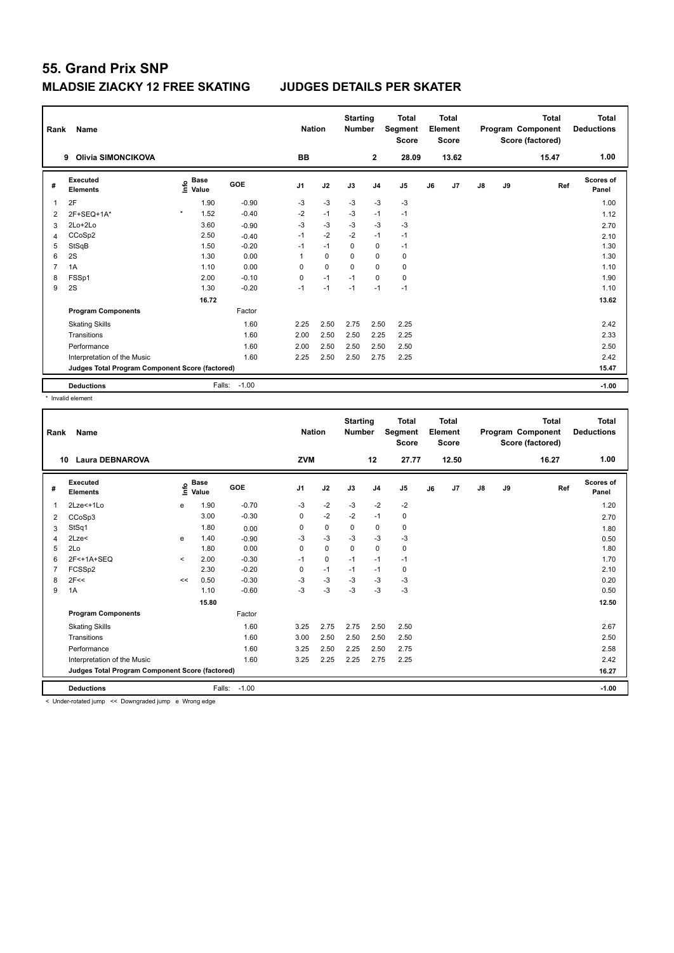| Rank           | Name<br><b>Olivia SIMONCIKOVA</b><br>9          |         |                      |         |                | <b>Nation</b> | <b>Starting</b><br><b>Number</b> |                | <b>Total</b><br>Segment<br><b>Score</b> |    | Total<br>Element<br><b>Score</b> |               |    | <b>Total</b><br>Program Component<br>Score (factored) | <b>Total</b><br><b>Deductions</b> |
|----------------|-------------------------------------------------|---------|----------------------|---------|----------------|---------------|----------------------------------|----------------|-----------------------------------------|----|----------------------------------|---------------|----|-------------------------------------------------------|-----------------------------------|
|                |                                                 |         |                      |         | <b>BB</b>      |               |                                  | $\overline{2}$ | 28.09                                   |    | 13.62                            |               |    | 15.47                                                 | 1.00                              |
| #              | Executed<br><b>Elements</b>                     | ١nfo    | <b>Base</b><br>Value | GOE     | J <sub>1</sub> | J2            | J3                               | J <sub>4</sub> | J <sub>5</sub>                          | J6 | J <sub>7</sub>                   | $\mathsf{J}8$ | J9 | Ref                                                   | Scores of<br>Panel                |
| 1              | 2F                                              |         | 1.90                 | $-0.90$ | $-3$           | $-3$          | $-3$                             | $-3$           | $-3$                                    |    |                                  |               |    |                                                       | 1.00                              |
| $\overline{2}$ | $2F+SEQ+1A*$                                    | $\star$ | 1.52                 | $-0.40$ | $-2$           | $-1$          | $-3$                             | $-1$           | $-1$                                    |    |                                  |               |    |                                                       | 1.12                              |
| 3              | 2Lo+2Lo                                         |         | 3.60                 | $-0.90$ | $-3$           | $-3$          | $-3$                             | $-3$           | $-3$                                    |    |                                  |               |    |                                                       | 2.70                              |
| 4              | CCoSp2                                          |         | 2.50                 | $-0.40$ | $-1$           | $-2$          | $-2$                             | $-1$           | $-1$                                    |    |                                  |               |    |                                                       | 2.10                              |
| 5              | StSqB                                           |         | 1.50                 | $-0.20$ | $-1$           | $-1$          | 0                                | $\mathbf 0$    | $-1$                                    |    |                                  |               |    |                                                       | 1.30                              |
| 6              | 2S                                              |         | 1.30                 | 0.00    | 1              | $\Omega$      | $\Omega$                         | $\Omega$       | 0                                       |    |                                  |               |    |                                                       | 1.30                              |
| 7              | 1A                                              |         | 1.10                 | 0.00    | 0              | $\mathbf 0$   | 0                                | $\mathbf 0$    | $\pmb{0}$                               |    |                                  |               |    |                                                       | 1.10                              |
| 8              | FSSp1                                           |         | 2.00                 | $-0.10$ | 0              | $-1$          | $-1$                             | 0              | 0                                       |    |                                  |               |    |                                                       | 1.90                              |
| 9              | 2S                                              |         | 1.30                 | $-0.20$ | $-1$           | $-1$          | $-1$                             | $-1$           | $-1$                                    |    |                                  |               |    |                                                       | 1.10                              |
|                |                                                 |         | 16.72                |         |                |               |                                  |                |                                         |    |                                  |               |    |                                                       | 13.62                             |
|                | <b>Program Components</b>                       |         |                      | Factor  |                |               |                                  |                |                                         |    |                                  |               |    |                                                       |                                   |
|                | <b>Skating Skills</b>                           |         |                      | 1.60    | 2.25           | 2.50          | 2.75                             | 2.50           | 2.25                                    |    |                                  |               |    |                                                       | 2.42                              |
|                | Transitions                                     |         |                      | 1.60    | 2.00           | 2.50          | 2.50                             | 2.25           | 2.25                                    |    |                                  |               |    |                                                       | 2.33                              |
|                | Performance                                     |         |                      | 1.60    | 2.00           | 2.50          | 2.50                             | 2.50           | 2.50                                    |    |                                  |               |    |                                                       | 2.50                              |
|                | Interpretation of the Music                     |         |                      | 1.60    | 2.25           | 2.50          | 2.50                             | 2.75           | 2.25                                    |    |                                  |               |    |                                                       | 2.42                              |
|                | Judges Total Program Component Score (factored) |         |                      |         |                |               |                                  |                |                                         |    |                                  |               |    |                                                       | 15.47                             |
|                | <b>Deductions</b>                               |         | Falls:               | $-1.00$ |                |               |                                  |                |                                         |    |                                  |               |    |                                                       | $-1.00$                           |

\* Invalid element

|   | Name<br>Rank<br><b>Laura DEBNAROVA</b><br>10    |         |                      |         |                | <b>Nation</b> | <b>Starting</b><br><b>Number</b> |                | <b>Total</b><br>Segment<br><b>Score</b> |    | <b>Total</b><br>Element<br><b>Score</b> |               |    | <b>Total</b><br>Program Component<br>Score (factored) | <b>Total</b><br><b>Deductions</b> |
|---|-------------------------------------------------|---------|----------------------|---------|----------------|---------------|----------------------------------|----------------|-----------------------------------------|----|-----------------------------------------|---------------|----|-------------------------------------------------------|-----------------------------------|
|   |                                                 |         |                      |         | <b>ZVM</b>     |               |                                  | 12             | 27.77                                   |    | 12.50                                   |               |    | 16.27                                                 | 1.00                              |
| # | Executed<br><b>Elements</b>                     | ۴o      | <b>Base</b><br>Value | GOE     | J <sub>1</sub> | J2            | J3                               | J <sub>4</sub> | J <sub>5</sub>                          | J6 | J <sub>7</sub>                          | $\mathsf{J}8$ | J9 | Ref                                                   | Scores of<br>Panel                |
| 1 | 2Lze<+1Lo                                       | e       | 1.90                 | $-0.70$ | -3             | $-2$          | $-3$                             | $-2$           | $-2$                                    |    |                                         |               |    |                                                       | 1.20                              |
| 2 | CCoSp3                                          |         | 3.00                 | $-0.30$ | 0              | $-2$          | $-2$                             | $-1$           | $\pmb{0}$                               |    |                                         |               |    |                                                       | 2.70                              |
| 3 | StSq1                                           |         | 1.80                 | 0.00    | $\Omega$       | $\mathbf 0$   | $\Omega$                         | $\mathbf 0$    | $\pmb{0}$                               |    |                                         |               |    |                                                       | 1.80                              |
| 4 | 2Lze<                                           | e       | 1.40                 | $-0.90$ | $-3$           | $-3$          | $-3$                             | $-3$           | $-3$                                    |    |                                         |               |    |                                                       | 0.50                              |
| 5 | 2Lo                                             |         | 1.80                 | 0.00    | 0              | $\mathbf 0$   | $\mathbf 0$                      | 0              | 0                                       |    |                                         |               |    |                                                       | 1.80                              |
| 6 | 2F<+1A+SEQ                                      | $\prec$ | 2.00                 | $-0.30$ | $-1$           | $\mathbf 0$   | $-1$                             | $-1$           | $-1$                                    |    |                                         |               |    |                                                       | 1.70                              |
|   | FCSSp2                                          |         | 2.30                 | $-0.20$ | 0              | $-1$          | $-1$                             | $-1$           | 0                                       |    |                                         |               |    |                                                       | 2.10                              |
| 8 | 2F<<                                            | <<      | 0.50                 | $-0.30$ | $-3$           | $-3$          | $-3$                             | $-3$           | $-3$                                    |    |                                         |               |    |                                                       | 0.20                              |
| 9 | 1A                                              |         | 1.10                 | $-0.60$ | $-3$           | -3            | $-3$                             | $-3$           | $-3$                                    |    |                                         |               |    |                                                       | 0.50                              |
|   |                                                 |         | 15.80                |         |                |               |                                  |                |                                         |    |                                         |               |    |                                                       | 12.50                             |
|   | <b>Program Components</b>                       |         |                      | Factor  |                |               |                                  |                |                                         |    |                                         |               |    |                                                       |                                   |
|   | <b>Skating Skills</b>                           |         |                      | 1.60    | 3.25           | 2.75          | 2.75                             | 2.50           | 2.50                                    |    |                                         |               |    |                                                       | 2.67                              |
|   | Transitions                                     |         |                      | 1.60    | 3.00           | 2.50          | 2.50                             | 2.50           | 2.50                                    |    |                                         |               |    |                                                       | 2.50                              |
|   | Performance                                     |         |                      | 1.60    | 3.25           | 2.50          | 2.25                             | 2.50           | 2.75                                    |    |                                         |               |    |                                                       | 2.58                              |
|   | Interpretation of the Music                     |         |                      | 1.60    | 3.25           | 2.25          | 2.25                             | 2.75           | 2.25                                    |    |                                         |               |    |                                                       | 2.42                              |
|   | Judges Total Program Component Score (factored) |         |                      |         |                |               |                                  |                |                                         |    |                                         |               |    |                                                       | 16.27                             |
|   | <b>Deductions</b>                               |         | Falls:               | $-1.00$ |                |               |                                  |                |                                         |    |                                         |               |    |                                                       | $-1.00$                           |

< Under-rotated jump << Downgraded jump e Wrong edge